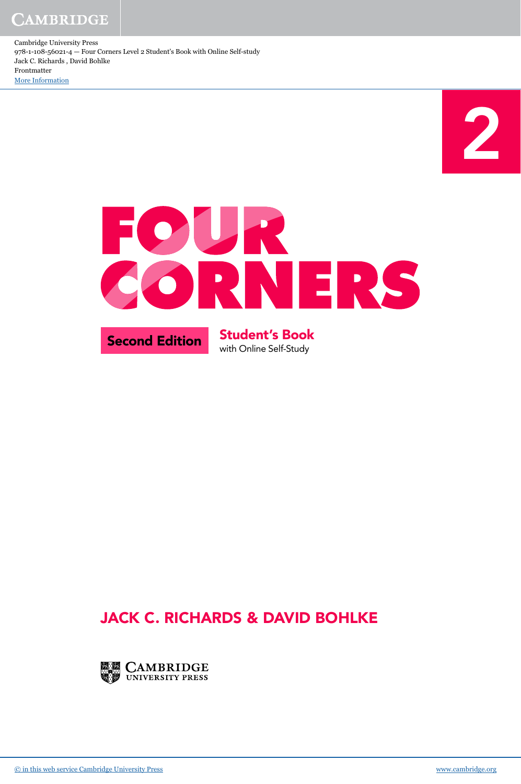



## JACK C. RICHARDS & DAVID BOHLKE

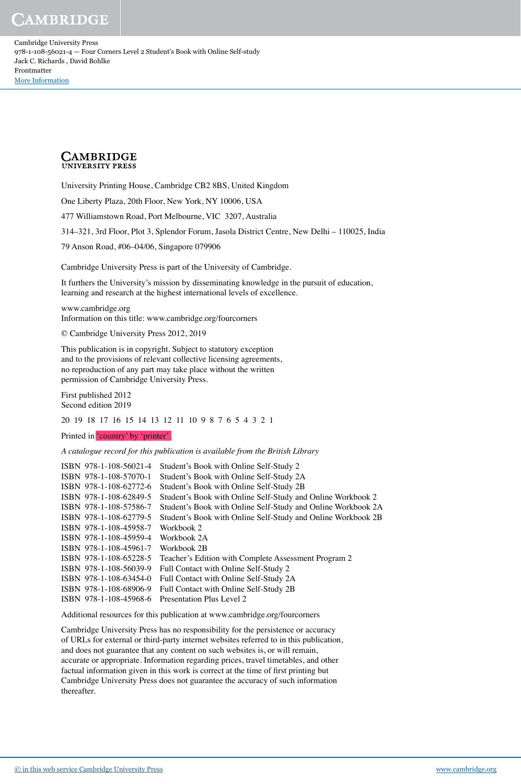### CAMBRIDGE

Cambridge University Press 978-1-108-56021-4 — Four Corners Level 2 Student's Book with Online Self-study Jack C. Richards , David Bohlke Frontmatter [More Information](www.cambridge.org/9781108560214)

#### **CAMBRIDGE UNIVERSITY PRESS**

University Printing House, Cambridge CB2 8BS, United Kingdom

One Liberty Plaza, 20th Floor, New York, NY 10006, USA

477 Williamstown Road, Port Melbourne, VIC 3207, Australia

314–321, 3rd Floor, Plot 3, Splendor Forum, Jasola District Centre, New Delhi – 110025, India

79 Anson Road, #06–04/06, Singapore 079906

Cambridge University Press is part of the University of Cambridge.

It furthers the University's mission by disseminating knowledge in the pursuit of education, learning and research at the highest international levels of excellence.

www.cambridge.org Information on this title: www.cambridge.org/fourcorners

© Cambridge University Press 2012, 2019

This publication is in copyright. Subject to statutory exception and to the provisions of relevant collective licensing agreements, no reproduction of any part may take place without the written permission of Cambridge University Press.

First published 2012 Second edition 2019

20 19 18 17 16 15 14 13 12 11 10 9 8 7 6 5 4 3 2 1

Printed in 'country' by 'printer'

*A catalogue record for this publication is available from the British Library*

| ISBN 978-1-108-56021-4 | Student's Book with Online Self-Study 2                      |
|------------------------|--------------------------------------------------------------|
| ISBN 978-1-108-57070-1 | Student's Book with Online Self-Study 2A                     |
| ISBN 978-1-108-62772-6 | Student's Book with Online Self-Study 2B                     |
| ISBN 978-1-108-62849-5 | Student's Book with Online Self-Study and Online Workbook 2  |
| ISBN 978-1-108-57586-7 | Student's Book with Online Self-Study and Online Workbook 2A |
| ISBN 978-1-108-62779-5 | Student's Book with Online Self-Study and Online Workbook 2B |
| ISBN 978-1-108-45958-7 | Workbook 2                                                   |
| ISBN 978-1-108-45959-4 | Workbook 2A                                                  |
| ISBN 978-1-108-45961-7 | Workbook 2B                                                  |
| ISBN 978-1-108-65228-5 | Teacher's Edition with Complete Assessment Program 2         |
| ISBN 978-1-108-56039-9 | Full Contact with Online Self-Study 2                        |
| ISBN 978-1-108-63454-0 | Full Contact with Online Self-Study 2A                       |
| ISBN 978-1-108-68906-9 | Full Contact with Online Self-Study 2B                       |
| ISBN 978-1-108-45968-6 | Presentation Plus Level 2                                    |
|                        |                                                              |

Additional resources for this publication at www.cambridge.org/fourcorners

Cambridge University Press has no responsibility for the persistence or accuracy of URLs for external or third-party internet websites referred to in this publication, and does not guarantee that any content on such websites is, or will remain, accurate or appropriate. Information regarding prices, travel timetables, and other factual information given in this work is correct at the time of first printing but Cambridge University Press does not guarantee the accuracy of such information thereafter.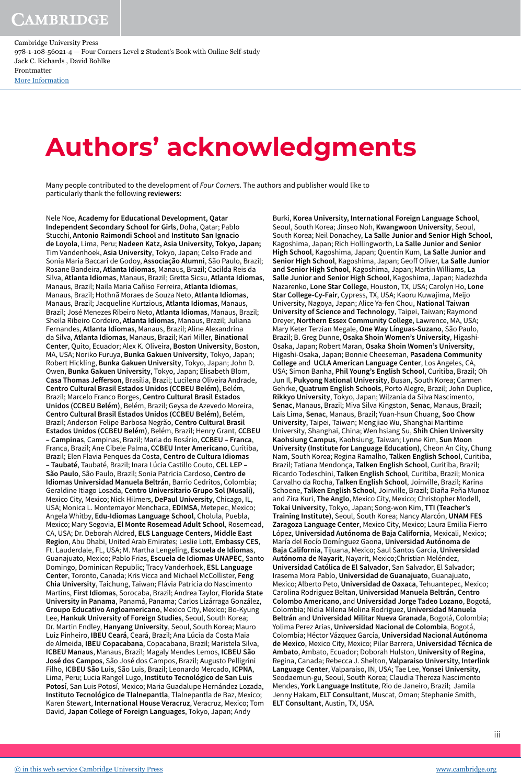**CAMBRIDGE** 

Cambridge University Press 978-1-108-56021-4 — Four Corners Level 2 Student's Book with Online Self-study Jack C. Richards , David Bohlke Frontmatter [More Information](www.cambridge.org/9781108560214)

## **Authors' acknowledgments**

Many people contributed to the development of *Four Corners*. The authors and publisher would like to particularly thank the following **reviewers**:

Nele Noe, **Academy for Educational Development, Qatar Independent Secondary School for Girls**, Doha, Qatar; Pablo Stucchi, **Antonio Raimondi School** and **Instituto San Ignacio de Loyola**, Lima, Peru; **Nadeen Katz, Asia University, Tokyo, Japan;**  Tim Vandenhoek, **Asia University**, Tokyo, Japan; Celso Frade and Sonia Maria Baccari de Godoy, **Associação Alumni**, São Paulo, Brazil; Rosane Bandeira, **Atlanta Idiomas**, Manaus, Brazil; Cacilda Reis da Silva, **Atlanta Idiomas**, Manaus, Brazil; Gretta Sicsu, **Atlanta Idiomas**, Manaus, Brazil; Naila Maria Cañiso Ferreira, **Atlanta Idiomas**, Manaus, Brazil; Hothnã Moraes de Souza Neto, **Atlanta Idiomas**, Manaus, Brazil; Jacqueline Kurtzious, **Atlanta Idiomas**, Manaus, Brazil; José Menezes Ribeiro Neto, **Atlanta Idiomas**, Manaus, Brazil; Sheila Ribeiro Cordeiro, **Atlanta Idiomas**, Manaus, Brazil; Juliana Fernandes, **Atlanta Idiomas**, Manaus, Brazil; Aline Alexandrina da Silva, **Atlanta Idiomas**, Manaus, Brazil; Kari Miller, **Binational Center**, Quito, Ecuador; Alex K. Oliveira, **Boston University**, Boston, MA, USA; Noriko Furuya, **Bunka Gakuen University**, Tokyo, Japan; Robert Hickling, **Bunka Gakuen University**, Tokyo, Japan; John D. Owen, **Bunka Gakuen University**, Tokyo, Japan; Elisabeth Blom, **Casa Thomas Jefferson**, Brasília, Brazil; Lucilena Oliveira Andrade, **Centro Cultural Brasil Estados Unidos (CCBEU Belém)**, Belém, Brazil; Marcelo Franco Borges, **Centro Cultural Brasil Estados Unidos (CCBEU Belém)**, Belém, Brazil; Geysa de Azevedo Moreira, **Centro Cultural Brasil Estados Unidos (CCBEU Belém)**, Belém, Brazil; Anderson Felipe Barbosa Negrão, **Centro Cultural Brasil Estados Unidos (CCBEU Belém)**, Belém, Brazil; Henry Grant, **CCBEU – Campinas**, Campinas, Brazil; Maria do Rosário, **CCBEU – Franca**, Franca, Brazil; Ane Cibele Palma, **CCBEU Inter Americano**, Curitiba, Brazil; Elen Flavia Penques da Costa, **Centro de Cultura Idiomas – Taubaté**, Taubaté, Brazil; Inara Lúcia Castillo Couto, **CEL LEP – São Paulo**, São Paulo, Brazil; Sonia Patricia Cardoso, **Centro de Idiomas Universidad Manuela Beltrán**, Barrio Cedritos, Colombia; Geraldine Itiago Losada, **Centro Universitario Grupo Sol (Musali)**, Mexico City, Mexico; Nick Hilmers, **DePaul University**, Chicago, IL, USA; Monica L. Montemayor Menchaca, **EDIMSA**, Metepec, Mexico; Angela Whitby, **Edu-Idiomas Language School**, Cholula, Puebla, Mexico; Mary Segovia, **El Monte Rosemead Adult School**, Rosemead, CA, USA; Dr. Deborah Aldred, **ELS Language Centers, Middle East Region**, Abu Dhabi, United Arab Emirates; Leslie Lott, **Embassy CES**, Ft. Lauderdale, FL, USA; M. Martha Lengeling, **Escuela de Idiomas**, Guanajuato, Mexico; Pablo Frias, **Escuela de Idiomas UNAPEC**, Santo Domingo, Dominican Republic; Tracy Vanderhoek, **ESL Language Center**, Toronto, Canada; Kris Vicca and Michael McCollister, **Feng Chia University**, Taichung, Taiwan; Flávia Patricia do Nascimento Martins, **First Idiomas**, Sorocaba, Brazil; Andrea Taylor, **Florida State University in Panama**, Panamá, Panama; Carlos Lizárraga González, **Groupo Educativo Angloamericano**, Mexico City, Mexico; Bo-Kyung Lee, **Hankuk University of Foreign Studies**, Seoul, South Korea; Dr. Martin Endley, **Hanyang University**, Seoul, South Korea; Mauro Luiz Pinheiro, **IBEU Ceará**, Ceará, Brazil; Ana Lúcia da Costa Maia de Almeida, **IBEU Copacabana**, Copacabana, Brazil; Maristela Silva, **ICBEU Manaus**, Manaus, Brazil; Magaly Mendes Lemos, **ICBEU São José dos Campos**, São José dos Campos, Brazil; Augusto Pelligrini Filho, **ICBEU São Luis**, São Luis, Brazil; Leonardo Mercado, **ICPNA**, Lima, Peru; Lucia Rangel Lugo, **Instituto Tecnológico de San Luis Potosí**, San Luis Potosí, Mexico; Maria Guadalupe Hernández Lozada, **Instituto Tecnológico de Tlalnepantla**, Tlalnepantla de Baz, Mexico; Karen Stewart, **International House Veracruz**, Veracruz, Mexico; Tom David, **Japan College of Foreign Languages**, Tokyo, Japan; Andy

Burki, **Korea University, International Foreign Language School**, Seoul, South Korea; Jinseo Noh, **Kwangwoon University**, Seoul, South Korea; Neil Donachey, **La Salle Junior and Senior High School**, Kagoshima, Japan; Rich Hollingworth, **La Salle Junior and Senior High School**, Kagoshima, Japan; Quentin Kum, **La Salle Junior and Senior High School**, Kagoshima, Japan; Geoff Oliver, **La Salle Junior and Senior High School**, Kagoshima, Japan; Martin Williams, **La Salle Junior and Senior High School**, Kagoshima, Japan; Nadezhda Nazarenko, **Lone Star College**, Houston, TX, USA; Carolyn Ho, **Lone Star College-Cy-Fair**, Cypress, TX, USA; Kaoru Kuwajima, Meijo University, Nagoya, Japan; Alice Ya-fen Chou, **National Taiwan University of Science and Technology**, Taipei, Taiwan; Raymond Dreyer, **Northern Essex Community College**, Lawrence, MA, USA; Mary Keter Terzian Megale, **One Way Línguas-Suzano**, São Paulo, Brazil; B. Greg Dunne, **Osaka Shoin Women's University**, Higashi-Osaka, Japan; Robert Maran, **Osaka Shoin Women's University**, Higashi-Osaka, Japan; Bonnie Cheeseman, **Pasadena Community College** and **UCLA American Language Center**, Los Angeles, CA, USA; Simon Banha, **Phil Young's English School**, Curitiba, Brazil; Oh Jun Il, **Pukyong National University**, Busan, South Korea; Carmen Gehrke, **Quatrum English Schools**, Porto Alegre, Brazil; John Duplice, **Rikkyo University**, Tokyo, Japan; Wilzania da Silva Nascimento, **Senac**, Manaus, Brazil; Miva Silva Kingston, **Senac**, Manaus, Brazil; Lais Lima, **Senac**, Manaus, Brazil; Yuan-hsun Chuang, **Soo Chow University**, Taipei, Taiwan; Mengjiao Wu, Shanghai Maritime University, Shanghai, China; Wen hsiang Su, **Shih Chien University Kaohsiung Campus**, Kaohsiung, Taiwan; Lynne Kim, **Sun Moon University (Institute for Language Education)**, Cheon An City, Chung Nam, South Korea; Regina Ramalho, **Talken English School**, Curitiba, Brazil; Tatiana Mendonça, **Talken English School**, Curitiba, Brazil; Ricardo Todeschini, **Talken English School**, Curitiba, Brazil; Monica Carvalho da Rocha, **Talken English School**, Joinville, Brazil; Karina Schoene, **Talken English School**, Joinville, Brazil; Diaña Peña Munoz and Zira Kuri, **The Anglo**, Mexico City, Mexico; Christopher Modell, **Tokai University**, Tokyo, Japan; Song-won Kim, **TTI (Teacher's Training Institute)**, Seoul, South Korea; Nancy Alarcón, **UNAM FES Zaragoza Language Center**, Mexico City, Mexico; Laura Emilia Fierro López, **Universidad Autónoma de Baja California**, Mexicali, Mexico; María del Rocío Domínguez Gaona, **Universidad Autónoma de Baja California**, Tijuana, Mexico; Saul Santos Garcia, **Universidad Autónoma de Nayarit**, Nayarit, Mexico;Christian Meléndez, **Universidad Católica de El Salvador**, San Salvador, El Salvador; Irasema Mora Pablo, **Universidad de Guanajuato**, Guanajuato, Mexico; Alberto Peto, **Universidad de Oaxaca**, Tehuantepec, Mexico; Carolina Rodriguez Beltan, **Universidad Manuela Beltrán, Centro Colombo Americano**, and **Universidad Jorge Tadeo Lozano**, Bogotá, Colombia; Nidia Milena Molina Rodriguez, **Universidad Manuela Beltrán** and **Universidad Militar Nueva Granada**, Bogotá, Colombia; Yolima Perez Arias, **Universidad Nacional de Colombia**, Bogotá, Colombia; Héctor Vázquez García, **Universidad Nacional Autónoma de Mexico**, Mexico City, Mexico; Pilar Barrera, **Universidad Técnica de Ambato**, Ambato, Ecuador; Doborah Hulston, **University of Regina**, Regina, Canada; Rebecca J. Shelton, **Valparaiso University, Interlink Language Center**, Valparaiso, IN, USA; Tae Lee, **Yonsei University**, Seodaemun-gu, Seoul, South Korea; Claudia Thereza Nascimento Mendes, **York Language Institute**, Rio de Janeiro, Brazil; Jamila Jenny Hakam, **ELT Consultant**, Muscat, Oman; Stephanie Smith, **ELT Consultant**, Austin, TX, USA.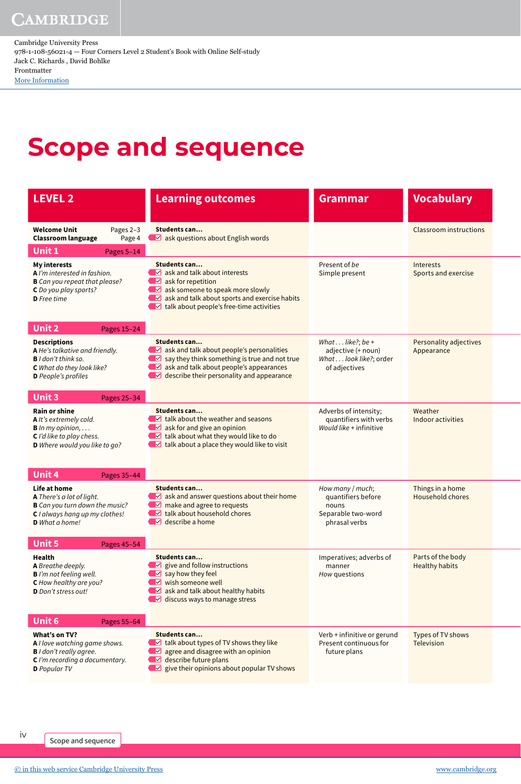# **Scope and sequence**

| <b>LEVEL 2</b>                                                                                                                                                                | <b>Learning outcomes</b>                                                                                                                                                                                                                                    | <b>Grammar</b>                                                                         | <b>Vocabulary</b>                           |
|-------------------------------------------------------------------------------------------------------------------------------------------------------------------------------|-------------------------------------------------------------------------------------------------------------------------------------------------------------------------------------------------------------------------------------------------------------|----------------------------------------------------------------------------------------|---------------------------------------------|
| <b>Welcome Unit</b><br>Pages 2-3<br><b>Classroom language</b><br>Page 4<br>Unit 1<br>Pages 5-14                                                                               | Students can<br>$\triangleright$ ask questions about English words                                                                                                                                                                                          |                                                                                        | <b>Classroom instructions</b>               |
| <b>My interests</b><br>A I'm interested in fashion.<br><b>B</b> Can you repeat that please?<br>C Do you play sports?<br><b>D</b> Free time                                    | Students can<br>$\vee$ ask and talk about interests<br>ask for repetition<br>☑<br>ask someone to speak more slowly<br>⊻<br>$\blacksquare$ ask and talk about sports and exercise habits<br>$\blacktriangleright$ talk about people's free-time activities   | Present of be<br>Simple present                                                        | <b>Interests</b><br>Sports and exercise     |
| <b>Unit 2</b><br>Pages 15-24                                                                                                                                                  | Students can                                                                                                                                                                                                                                                | What $\dots$ like?; be +                                                               |                                             |
| <b>Descriptions</b><br>A He's talkative and friendly.<br>$B$ I don't think so.<br>C What do they look like?<br>D People's profiles                                            | $\blacktriangleright$ ask and talk about people's personalities<br>$\vee$ say they think something is true and not true<br>$\blacktriangleright$ ask and talk about people's appearances<br>$\blacktriangleright$ describe their personality and appearance | adjective (+ noun)<br>What look like?; order<br>of adjectives                          | Personality adjectives<br>Appearance        |
| <b>Unit 3</b><br>Pages 25-34                                                                                                                                                  |                                                                                                                                                                                                                                                             |                                                                                        |                                             |
| <b>Rain or shine</b><br>A It's extremely cold.<br><b>B</b> In my opinion, $\ldots$<br>C I'd like to play chess.<br><b>D</b> Where would you like to go?                       | Students can<br>$\vee$ talk about the weather and seasons<br>$\triangleright$ ask for and give an opinion<br>$\blacksquare$ talk about what they would like to do<br>$\blacktriangleright$ talk about a place they would like to visit                      | Adverbs of intensity;<br>quantifiers with verbs<br>Would like + infinitive             | Weather<br>Indoor activities                |
| <b>Unit 4</b><br>Pages 35-44                                                                                                                                                  |                                                                                                                                                                                                                                                             |                                                                                        |                                             |
| Life at home<br>A There's a lot of light.<br><b>B</b> Can you turn down the music?<br>C I always hang up my clothes!<br><b>D</b> What a home!<br><b>Unit 5</b><br>Pages 45-54 | Students can<br>$\triangleright$ ask and answer questions about their home<br>$\blacksquare$ make and agree to requests<br>$\blacksquare$ talk about household chores<br>$\blacksquare$ describe a home                                                     | How many / much;<br>quantifiers before<br>nouns<br>Separable two-word<br>phrasal verbs | Things in a home<br><b>Household chores</b> |
| Health                                                                                                                                                                        | Students can                                                                                                                                                                                                                                                | Imperatives; adverbs of                                                                | Parts of the body                           |
| A Breathe deeply.<br><b>B</b> I'm not feeling well.<br>C How healthy are you?<br>D Don't stress out!                                                                          | $\triangleright$ give and follow instructions<br>$\triangleright$ say how they feel<br>$\vee$ wish someone well<br>$\Box$ ask and talk about healthy habits<br>$\blacksquare$ discuss ways to manage stress                                                 | manner<br>How questions                                                                | <b>Healthy habits</b>                       |
| <b>Unit 6</b><br>Pages 55-64                                                                                                                                                  |                                                                                                                                                                                                                                                             |                                                                                        |                                             |
| What's on TV?<br>A I love watching game shows.<br><b>B</b> I don't really agree.<br>C I'm recording a documentary.<br><b>D</b> Popular TV                                     | Students can<br>$\Box$ talk about types of TV shows they like<br>$\blacktriangleright$ agree and disagree with an opinion<br>$\Box$ describe future plans<br>$\blacksquare$ give their opinions about popular TV shows                                      | Verb + infinitive or gerund<br>Present continuous for<br>future plans                  | Types of TV shows<br><b>Television</b>      |

iv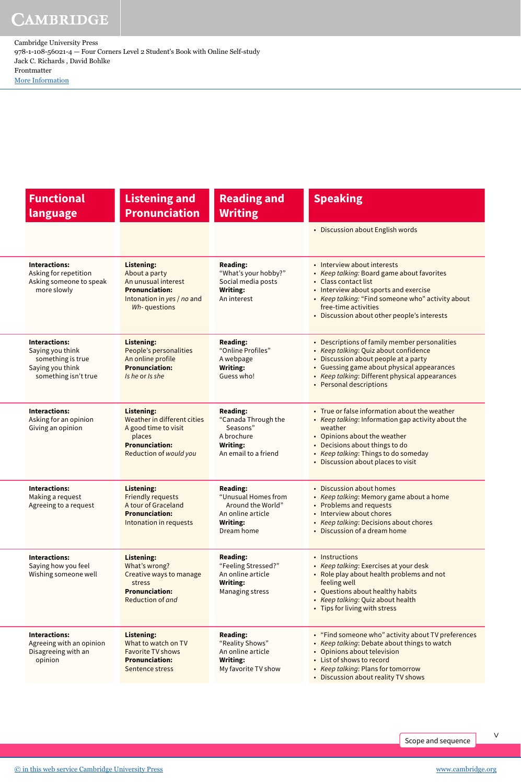| <b>Functional</b><br>language                                                                      | <b>Listening and</b><br><b>Pronunciation</b>                                                                                          | <b>Reading and</b><br><b>Writing</b>                                                                              | <b>Speaking</b>                                                                                                                                                                                                                                                      |
|----------------------------------------------------------------------------------------------------|---------------------------------------------------------------------------------------------------------------------------------------|-------------------------------------------------------------------------------------------------------------------|----------------------------------------------------------------------------------------------------------------------------------------------------------------------------------------------------------------------------------------------------------------------|
|                                                                                                    |                                                                                                                                       |                                                                                                                   | • Discussion about English words                                                                                                                                                                                                                                     |
| Interactions:<br>Asking for repetition<br>Asking someone to speak<br>more slowly                   | <b>Listening:</b><br>About a party<br>An unusual interest<br><b>Pronunciation:</b><br>Intonation in yes / no and<br>Wh-questions      | <b>Reading:</b><br>"What's your hobby?"<br>Social media posts<br><b>Writing:</b><br>An interest                   | • Interview about interests<br>Keep talking: Board game about favorites<br>• Class contact list<br>• Interview about sports and exercise<br>• Keep talking: "Find someone who" activity about<br>free-time activities<br>• Discussion about other people's interests |
| Interactions:<br>Saying you think<br>something is true<br>Saying you think<br>something isn't true | Listening:<br>People's personalities<br>An online profile<br><b>Pronunciation:</b><br>Is he or Is she                                 | <b>Reading:</b><br>"Online Profiles"<br>A webpage<br><b>Writing:</b><br>Guess who!                                | • Descriptions of family member personalities<br>• Keep talking: Quiz about confidence<br>• Discussion about people at a party<br>• Guessing game about physical appearances<br>• Keep talking: Different physical appearances<br>• Personal descriptions            |
| Interactions:<br>Asking for an opinion<br>Giving an opinion                                        | <b>Listening:</b><br>Weather in different cities<br>A good time to visit<br>places<br><b>Pronunciation:</b><br>Reduction of would you | <b>Reading:</b><br>"Canada Through the<br>Seasons"<br>A brochure<br><b>Writing:</b><br>An email to a friend       | • True or false information about the weather<br>• Keep talking: Information gap activity about the<br>weather<br>• Opinions about the weather<br>• Decisions about things to do<br>• Keep talking: Things to do someday<br>• Discussion about places to visit       |
| Interactions:<br>Making a request<br>Agreeing to a request                                         | Listening:<br><b>Friendly requests</b><br>A tour of Graceland<br><b>Pronunciation:</b><br>Intonation in requests                      | <b>Reading:</b><br>"Unusual Homes from<br>Around the World"<br>An online article<br><b>Writing:</b><br>Dream home | • Discussion about homes<br>• Keep talking: Memory game about a home<br>• Problems and requests<br>Interview about chores<br>• Keep talking: Decisions about chores<br>• Discussion of a dream home                                                                  |
| <b>Interactions:</b><br>Saying how you feel<br>Wishing someone well                                | Listening:<br>What's wrong?<br>Creative ways to manage<br>stress<br><b>Pronunciation:</b><br>Reduction of and                         | <b>Reading:</b><br>"Feeling Stressed?"<br>An online article<br><b>Writing:</b><br>Managing stress                 | • Instructions<br>• Keep talking: Exercises at your desk<br>• Role play about health problems and not<br>feeling well<br>• Questions about healthy habits<br>• Keep talking: Quiz about health<br>• Tips for living with stress                                      |
| Interactions:<br>Agreeing with an opinion<br>Disagreeing with an<br>opinion                        | Listening:<br>What to watch on TV<br><b>Favorite TV shows</b><br><b>Pronunciation:</b><br>Sentence stress                             | <b>Reading:</b><br>"Reality Shows"<br>An online article<br><b>Writing:</b><br>My favorite TV show                 | • "Find someone who" activity about TV preferences<br>• Keep talking: Debate about things to watch<br>• Opinions about television<br>• List of shows to record<br>• Keep talking: Plans for tomorrow<br>• Discussion about reality TV shows                          |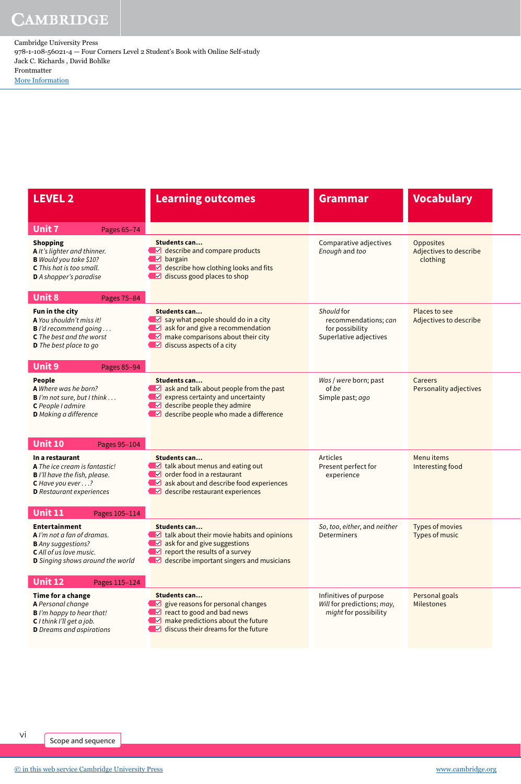| <b>LEVEL 2</b>                                                                                                                                                                  | <b>Learning outcomes</b>                                                                                                                                                                                                                 | <b>Grammar</b>                                                                  | <b>Vocabulary</b>                                      |
|---------------------------------------------------------------------------------------------------------------------------------------------------------------------------------|------------------------------------------------------------------------------------------------------------------------------------------------------------------------------------------------------------------------------------------|---------------------------------------------------------------------------------|--------------------------------------------------------|
| <b>Unit 7</b><br>Pages 65-74                                                                                                                                                    |                                                                                                                                                                                                                                          |                                                                                 |                                                        |
| <b>Shopping</b><br>A It's lighter and thinner.<br>B Would you take \$10?<br>C This hat is too small.<br><b>D</b> A shopper's paradise                                           | Students can<br>$\blacksquare$ describe and compare products<br>$\triangleright$ bargain<br>☑ describe how clothing looks and fits<br>discuss good places to shop                                                                        | Comparative adjectives<br>Enough and too                                        | <b>Opposites</b><br>Adjectives to describe<br>clothing |
| <b>Unit 8</b><br>Pages 75-84                                                                                                                                                    |                                                                                                                                                                                                                                          |                                                                                 |                                                        |
| Fun in the city<br>A You shouldn't miss it!<br><b>B</b> I'd recommend going<br><b>C</b> The best and the worst<br><b>D</b> The best place to go<br><b>Unit 9</b><br>Pages 85-94 | Students can<br>$\triangleright$ say what people should do in a city<br>$\triangleright$ ask for and give a recommendation<br>$\triangleright$ make comparisons about their city<br>$\triangleright$ discuss aspects of a city           | Should for<br>recommendations; can<br>for possibility<br>Superlative adjectives | Places to see<br>Adjectives to describe                |
| People<br>A Where was he born?<br><b>B</b> $l'm$ not sure, but $l$ think<br>C People I admire<br><b>D</b> Making a difference                                                   | Students can<br>$\blacksquare$ ask and talk about people from the past<br>$\triangleright$ express certainty and uncertainty<br>$\vee$ describe people they admire<br>$\triangleright$ describe people who made a difference             | Was / were born; past<br>of be<br>Simple past; ago                              | Careers<br><b>Personality adjectives</b>               |
| <b>Unit 10</b><br>Pages 95-104                                                                                                                                                  |                                                                                                                                                                                                                                          |                                                                                 |                                                        |
| In a restaurant<br><b>A</b> The ice cream is fantastic!<br><b>B</b> I'll have the fish, please.<br>C Have you ever?<br><b>D</b> Restaurant experiences                          | Students can<br>$\vee$ talk about menus and eating out<br>$\vee$ order food in a restaurant<br>$\vee$ ask about and describe food experiences<br>$\Box$ describe restaurant experiences                                                  | Articles<br>Present perfect for<br>experience                                   | Menu items<br>Interesting food                         |
| Unit $11$<br>Pages 105-114                                                                                                                                                      |                                                                                                                                                                                                                                          |                                                                                 |                                                        |
| <b>Entertainment</b><br>A I'm not a fan of dramas.<br><b>B</b> Any suggestions?<br><b>C</b> All of us love music.<br><b>D</b> Singing shows around the world                    | Students can<br>$\triangleright$ talk about their movie habits and opinions<br>$\triangleright$ ask for and give suggestions<br>$\blacksquare$ report the results of a survey<br>$\blacksquare$ describe important singers and musicians | So, too, either, and neither<br><b>Determiners</b>                              | <b>Types of movies</b><br><b>Types of music</b>        |
| <b>Unit 12</b><br>Pages 115-124                                                                                                                                                 |                                                                                                                                                                                                                                          |                                                                                 |                                                        |
| Time for a change<br>A Personal change<br><b>B</b> I'm happy to hear that!<br>C I think I'll get a job.<br><b>D</b> Dreams and aspirations                                      | Students can<br>$\triangleright$ give reasons for personal changes<br>$\vee$ react to good and bad news<br>$\triangleright$ make predictions about the future<br>$\vee$ discuss their dreams for the future                              | Infinitives of purpose<br>Will for predictions; may,<br>might for possibility   | Personal goals<br><b>Milestones</b>                    |

Scope and sequence

vi